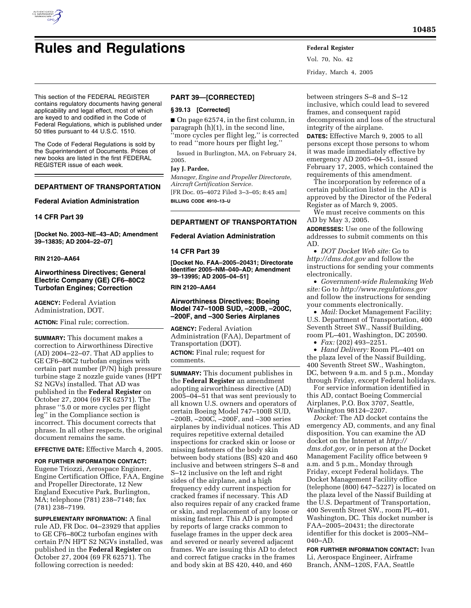

Vol. 70, No. 42 Friday, March 4, 2005

This section of the FEDERAL REGISTER contains regulatory documents having general applicability and legal effect, most of which are keyed to and codified in the Code of Federal Regulations, which is published under 50 titles pursuant to 44 U.S.C. 1510.

The Code of Federal Regulations is sold by the Superintendent of Documents. Prices of new books are listed in the first FEDERAL REGISTER issue of each week.

# **DEPARTMENT OF TRANSPORTATION**

**Federal Aviation Administration** 

## **14 CFR Part 39**

**[Docket No. 2003–NE–43–AD; Amendment 39–13835; AD 2004–22–07]** 

### **RIN 2120–AA64**

## **Airworthiness Directives; General Electric Company (GE) CF6–80C2 Turbofan Engines; Correction**

**AGENCY:** Federal Aviation Administration, DOT.

**ACTION:** Final rule; correction.

**SUMMARY:** This document makes a correction to Airworthiness Directive (AD) 2004–22–07. That AD applies to GE CF6–80C2 turbofan engines with certain part number (P/N) high pressure turbine stage 2 nozzle guide vanes (HPT S2 NGVs) installed. That AD was published in the **Federal Register** on October 27, 2004 (69 FR 62571). The phrase ''5.0 or more cycles per flight leg'' in the Compliance section is incorrect. This document corrects that phrase. In all other respects, the original document remains the same.

**EFFECTIVE DATE:** Effective March 4, 2005.

**FOR FURTHER INFORMATION CONTACT:** Eugene Triozzi, Aerospace Engineer, Engine Certification Office, FAA, Engine and Propeller Directorate, 12 New England Executive Park, Burlington, MA; telephone (781) 238–7148; fax (781) 238–7199.

**SUPPLEMENTARY INFORMATION:** A final rule AD, FR Doc. 04–23929 that applies to GE CF6–80C2 turbofan engines with certain P/N HPT S2 NGVs installed, was published in the **Federal Register** on October 27, 2004 (69 FR 62571). The following correction is needed:

# **PART 39—[CORRECTED]**

#### **§ 39.13 [Corrected]**

■ On page 62574, in the first column, in paragraph (h)(1), in the second line, ''more cycles per flight leg,'' is corrected to read ''more hours per flight leg,''

Issued in Burlington, MA, on February 24, 2005.

#### **Jay J. Pardee,**

*Manager, Engine and Propeller Directorate, Aircraft Certification Service.*

[FR Doc. 05–4072 Filed 3–3–05; 8:45 am] **BILLING CODE 4910–13–U**

### **DEPARTMENT OF TRANSPORTATION**

### **Federal Aviation Administration**

#### **14 CFR Part 39**

**[Docket No. FAA–2005–20431; Directorate Identifier 2005–NM–040–AD; Amendment 39–13995; AD 2005–04–51]** 

### **RIN 2120–AA64**

## **Airworthiness Directives; Boeing Model 747–100B SUD, –200B, –200C, –200F, and –300 Series Airplanes**

**AGENCY:** Federal Aviation Administration (FAA), Department of Transportation (DOT).

**ACTION:** Final rule; request for comments.

**SUMMARY:** This document publishes in the **Federal Register** an amendment adopting airworthiness directive (AD) 2005–04–51 that was sent previously to all known U.S. owners and operators of certain Boeing Model 747–100B SUD, –200B, –200C, –200F, and –300 series airplanes by individual notices. This AD requires repetitive external detailed inspections for cracked skin or loose or missing fasteners of the body skin between body stations (BS) 420 and 460 inclusive and between stringers S–8 and S–12 inclusive on the left and right sides of the airplane, and a high frequency eddy current inspection for cracked frames if necessary. This AD also requires repair of any cracked frame or skin, and replacement of any loose or missing fastener. This AD is prompted by reports of large cracks common to fuselage frames in the upper deck area and severed or nearly severed adjacent frames. We are issuing this AD to detect and correct fatigue cracks in the frames and body skin at BS 420, 440, and 460

between stringers S–8 and S–12 inclusive, which could lead to severed frames, and consequent rapid decompression and loss of the structural integrity of the airplane.

**DATES:** Effective March 9, 2005 to all persons except those persons to whom it was made immediately effective by emergency AD 2005–04–51, issued February 17, 2005, which contained the requirements of this amendment.

The incorporation by reference of a certain publication listed in the AD is approved by the Director of the Federal Register as of March 9, 2005.

We must receive comments on this AD by May 3, 2005.

**ADDRESSES:** Use one of the following addresses to submit comments on this AD.

• *DOT Docket Web site:* Go to *http://dms.dot.gov* and follow the instructions for sending your comments electronically.

• *Government-wide Rulemaking Web site:* Go to *http://www.regulations.gov* and follow the instructions for sending your comments electronically.

• *Mail:* Docket Management Facility; U.S. Department of Transportation, 400 Seventh Street SW., Nassif Building, room PL–401, Washington, DC 20590.

• *Fax:* (202) 493–2251.

• *Hand Delivery:* Room PL–401 on the plaza level of the Nassif Building, 400 Seventh Street SW., Washington, DC, between 9 a.m. and 5 p.m., Monday through Friday, except Federal holidays.

For service information identified in this AD, contact Boeing Commercial Airplanes, P.O. Box 3707, Seattle, Washington 98124–2207.

*Docket:* The AD docket contains the emergency AD, comments, and any final disposition. You can examine the AD docket on the Internet at *http:// dms.dot.gov,* or in person at the Docket Management Facility office between 9 a.m. and 5 p.m., Monday through Friday, except Federal holidays. The Docket Management Facility office (telephone (800) 647–5227) is located on the plaza level of the Nassif Building at the U.S. Department of Transportation, 400 Seventh Street SW., room PL–401, Washington, DC. This docket number is FAA–2005–20431; the directorate identifier for this docket is 2005–NM– 040–AD.

**FOR FURTHER INFORMATION CONTACT:** Ivan Li, Aerospace Engineer, Airframe Branch, ANM–120S, FAA, Seattle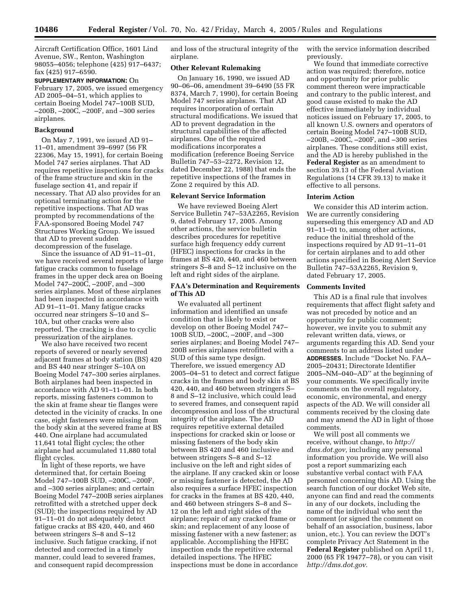Aircraft Certification Office, 1601 Lind Avenue, SW., Renton, Washington 98055–4056; telephone (425) 917–6437; fax (425) 917–6590.

**SUPPLEMENTARY INFORMATION:** On February 17, 2005, we issued emergency AD 2005–04–51, which applies to certain Boeing Model 747–100B SUD, –200B, –200C, –200F, and –300 series airplanes.

### **Background**

On May 7, 1991, we issued AD 91– 11–01, amendment 39–6997 (56 FR 22306, May 15, 1991), for certain Boeing Model 747 series airplanes. That AD requires repetitive inspections for cracks of the frame structure and skin in the fuselage section 41, and repair if necessary. That AD also provides for an optional terminating action for the repetitive inspections. That AD was prompted by recommendations of the FAA-sponsored Boeing Model 747 Structures Working Group. We issued that AD to prevent sudden decompression of the fuselage.

Since the issuance of AD  $\overline{9}1-11-01$ , we have received several reports of large fatigue cracks common to fuselage frames in the upper deck area on Boeing Model 747–200C, –200F, and –300 series airplanes. Most of these airplanes had been inspected in accordance with AD 91–11–01. Many fatigue cracks occurred near stringers S–10 and S– 10A, but other cracks were also reported. The cracking is due to cyclic pressurization of the airplanes.

We also have received two recent reports of severed or nearly severed adjacent frames at body station (BS) 420 and BS 440 near stringer S–10A on Boeing Model 747–300 series airplanes. Both airplanes had been inspected in accordance with AD 91–11–01. In both reports, missing fasteners common to the skin at frame shear tie flanges were detected in the vicinity of cracks. In one case, eight fasteners were missing from the body skin at the severed frame at BS 440. One airplane had accumulated 11,641 total flight cycles; the other airplane had accumulated 11,880 total flight cycles.

In light of these reports, we have determined that, for certain Boeing Model 747–100B SUD, –200C, –200F, and –300 series airplanes; and certain Boeing Model 747–200B series airplanes retrofitted with a stretched upper deck (SUD); the inspections required by AD 91–11–01 do not adequately detect fatigue cracks at BS 420, 440, and 460 between stringers S–8 and S–12 inclusive. Such fatigue cracking, if not detected and corrected in a timely manner, could lead to severed frames, and consequent rapid decompression

and loss of the structural integrity of the airplane.

## **Other Relevant Rulemaking**

On January 16, 1990, we issued AD 90–06–06, amendment 39–6490 (55 FR 8374, March 7, 1990), for certain Boeing Model 747 series airplanes. That AD requires incorporation of certain structural modifications. We issued that AD to prevent degradation in the structural capabilities of the affected airplanes. One of the required modifications incorporates a modification (reference Boeing Service Bulletin 747–53–2272, Revision 12, dated December 22, 1988) that ends the repetitive inspections of the frames in Zone 2 required by this AD.

#### **Relevant Service Information**

We have reviewed Boeing Alert Service Bulletin 747–53A2265, Revision 9, dated February 17, 2005. Among other actions, the service bulletin describes procedures for repetitive surface high frequency eddy current (HFEC) inspections for cracks in the frames at BS 420, 440, and 460 between stringers S–8 and S–12 inclusive on the left and right sides of the airplane.

## **FAA's Determination and Requirements of This AD**

We evaluated all pertinent information and identified an unsafe condition that is likely to exist or develop on other Boeing Model 747– 100B SUD, –200C, –200F, and –300 series airplanes; and Boeing Model 747– 200B series airplanes retrofitted with a SUD of this same type design. Therefore, we issued emergency AD 2005–04–51 to detect and correct fatigue cracks in the frames and body skin at BS 420, 440, and 460 between stringers S– 8 and S–12 inclusive, which could lead to severed frames, and consequent rapid decompression and loss of the structural integrity of the airplane. The AD requires repetitive external detailed inspections for cracked skin or loose or missing fasteners of the body skin between BS 420 and 460 inclusive and between stringers S–8 and S–12 inclusive on the left and right sides of the airplane. If any cracked skin or loose or missing fastener is detected, the AD also requires a surface HFEC inspection for cracks in the frames at BS 420, 440, and 460 between stringers S–8 and S– 12 on the left and right sides of the airplane; repair of any cracked frame or skin; and replacement of any loose of missing fastener with a new fastener; as applicable. Accomplishing the HFEC inspection ends the repetitive external detailed inspections. The HFEC inspections must be done in accordance

with the service information described previously.

We found that immediate corrective action was required; therefore, notice and opportunity for prior public comment thereon were impracticable and contrary to the public interest, and good cause existed to make the AD effective immediately by individual notices issued on February 17, 2005, to all known U.S. owners and operators of certain Boeing Model 747–100B SUD, –200B, –200C, –200F, and –300 series airplanes. These conditions still exist, and the AD is hereby published in the **Federal Register** as an amendment to section 39.13 of the Federal Aviation Regulations (14 CFR 39.13) to make it effective to all persons.

### **Interim Action**

We consider this AD interim action. We are currently considering superseding this emergency AD and AD 91–11–01 to, among other actions, reduce the initial threshold of the inspections required by AD 91–11–01 for certain airplanes and to add other actions specified in Boeing Alert Service Bulletin 747–53A2265, Revision 9, dated February 17, 2005.

#### **Comments Invited**

This AD is a final rule that involves requirements that affect flight safety and was not preceded by notice and an opportunity for public comment; however, we invite you to submit any relevant written data, views, or arguments regarding this AD. Send your comments to an address listed under **ADDRESSES**. Include ''Docket No. FAA– 2005–20431; Directorate Identifier 2005–NM–040–AD'' at the beginning of your comments. We specifically invite comments on the overall regulatory, economic, environmental, and energy aspects of the AD. We will consider all comments received by the closing date and may amend the AD in light of those comments.

We will post all comments we receive, without change, to *http:// dms.dot.gov,* including any personal information you provide. We will also post a report summarizing each substantive verbal contact with FAA personnel concerning this AD. Using the search function of our docket Web site, anyone can find and read the comments in any of our dockets, including the name of the individual who sent the comment (or signed the comment on behalf of an association, business, labor union, etc.). You can review the DOT's complete Privacy Act Statement in the **Federal Register** published on April 11, 2000 (65 FR 19477–78), or you can visit *http://dms.dot.gov.*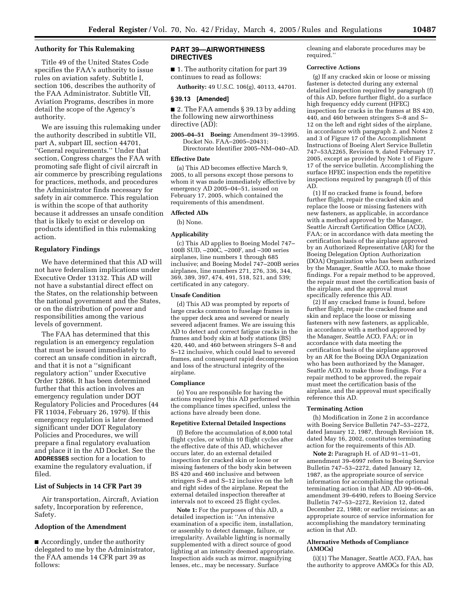## **Authority for This Rulemaking**

Title 49 of the United States Code specifies the FAA's authority to issue rules on aviation safety. Subtitle I, section 106, describes the authority of the FAA Administrator. Subtitle VII, Aviation Programs, describes in more detail the scope of the Agency's authority.

We are issuing this rulemaking under the authority described in subtitle VII, part A, subpart III, section 44701, ''General requirements.'' Under that section, Congress charges the FAA with promoting safe flight of civil aircraft in air commerce by prescribing regulations for practices, methods, and procedures the Administrator finds necessary for safety in air commerce. This regulation is within the scope of that authority because it addresses an unsafe condition that is likely to exist or develop on products identified in this rulemaking action.

## **Regulatory Findings**

We have determined that this AD will not have federalism implications under Executive Order 13132. This AD will not have a substantial direct effect on the States, on the relationship between the national government and the States, or on the distribution of power and responsibilities among the various levels of government.

The FAA has determined that this regulation is an emergency regulation that must be issued immediately to correct an unsafe condition in aircraft, and that it is not a ''significant regulatory action'' under Executive Order 12866. It has been determined further that this action involves an emergency regulation under DOT Regulatory Policies and Procedures (44 FR 11034, February 26, 1979). If this emergency regulation is later deemed significant under DOT Regulatory Policies and Procedures, we will prepare a final regulatory evaluation and place it in the AD Docket. See the **ADDRESSES** section for a location to examine the regulatory evaluation, if filed.

## **List of Subjects in 14 CFR Part 39**

Air transportation, Aircraft, Aviation safety, Incorporation by reference, Safety.

## **Adoption of the Amendment**

■ Accordingly, under the authority delegated to me by the Administrator, the FAA amends 14 CFR part 39 as follows:

## **PART 39—AIRWORTHINESS DIRECTIVES**

■ 1. The authority citation for part 39 continues to read as follows:

**Authority:** 49 U.S.C. 106(g), 40113, 44701.

#### **§ 39.13 [Amended]**

■ 2. The FAA amends § 39.13 by adding the following new airworthiness directive (AD):

**2005–04–51 Boeing:** Amendment 39–13995. Docket No. FAA–2005–20431; Directorate Identifier 2005–NM–040–AD.

#### **Effective Date**

(a) This AD becomes effective March 9, 2005, to all persons except those persons to whom it was made immediately effective by emergency AD 2005–04–51, issued on February 17, 2005, which contained the requirements of this amendment.

### **Affected ADs**

(b) None.

#### **Applicability**

(c) This AD applies to Boeing Model 747– 100B SUD, –200C, –200F, and –300 series airplanes, line numbers 1 through 685 inclusive; and Boeing Model 747–200B series airplanes, line numbers 271, 276, 336, 344, 369, 389, 397, 474, 491, 518, 521, and 539; certificated in any category.

#### **Unsafe Condition**

(d) This AD was prompted by reports of large cracks common to fuselage frames in the upper deck area and severed or nearly severed adjacent frames. We are issuing this AD to detect and correct fatigue cracks in the frames and body skin at body stations (BS) 420, 440, and 460 between stringers S–8 and S–12 inclusive, which could lead to severed frames, and consequent rapid decompression and loss of the structural integrity of the airplane.

### **Compliance**

(e) You are responsible for having the actions required by this AD performed within the compliance times specified, unless the actions have already been done.

#### **Repetitive External Detailed Inspections**

(f) Before the accumulation of 8,000 total flight cycles, or within 10 flight cycles after the effective date of this AD, whichever occurs later, do an external detailed inspection for cracked skin or loose or missing fasteners of the body skin between BS 420 and 460 inclusive and between stringers S–8 and S–12 inclusive on the left and right sides of the airplane. Repeat the external detailed inspection thereafter at intervals not to exceed 25 flight cycles.

**Note 1:** For the purposes of this AD, a detailed inspection is: ''An intensive examination of a specific item, installation, or assembly to detect damage, failure, or irregularity. Available lighting is normally supplemented with a direct source of good lighting at an intensity deemed appropriate. Inspection aids such as mirror, magnifying lenses, etc., may be necessary. Surface

cleaning and elaborate procedures may be required.''

#### **Corrective Actions**

(g) If any cracked skin or loose or missing fastener is detected during any external detailed inspection required by paragraph (f) of this AD, before further flight, do a surface high frequency eddy current (HFEC) inspection for cracks in the frames at BS 420, 440, and 460 between stringers S–8 and S– 12 on the left and right sides of the airplane, in accordance with paragraph 2. and Notes 2 and 3 of Figure 17 of the Accomplishment Instructions of Boeing Alert Service Bulletin 747–53A2265, Revision 9, dated February 17, 2005, except as provided by Note 1 of Figure 17 of the service bulletin. Accomplishing the surface HFEC inspection ends the repetitive inspections required by paragraph (f) of this AD.

(1) If no cracked frame is found, before further flight, repair the cracked skin and replace the loose or missing fasteners with new fasteners, as applicable, in accordance with a method approved by the Manager, Seattle Aircraft Certification Office (ACO), FAA; or in accordance with data meeting the certification basis of the airplane approved by an Authorized Representative (AR) for the Boeing Delegation Option Authorization (DOA) Organization who has been authorized by the Manager, Seattle ACO, to make those findings. For a repair method to be approved, the repair must meet the certification basis of the airplane, and the approval must specifically reference this AD.

(2) If any cracked frame is found, before further flight, repair the cracked frame and skin and replace the loose or missing fasteners with new fasteners, as applicable, in accordance with a method approved by the Manager, Seattle ACO, FAA; or in accordance with data meeting the certification basis of the airplane approved by an AR for the Boeing DOA Organization who has been authorized by the Manager, Seattle ACO, to make those findings. For a repair method to be approved, the repair must meet the certification basis of the airplane, and the approval must specifically reference this AD.

#### **Terminating Action**

(h) Modification in Zone 2 in accordance with Boeing Service Bulletin 747–53–2272, dated January 12, 1987, through Revision 18, dated May 16, 2002, constitutes terminating action for the requirements of this AD.

**Note 2:** Paragraph H. of AD 91–11–01, amendment 39–6997 refers to Boeing Service Bulletin 747–53–2272, dated January 12, 1987, as the appropriate source of service information for accomplishing the optional terminating action in that  $AD$ .  $AD$   $90-06-06$ , amendment 39–6490, refers to Boeing Service Bulletin 747–53–2272, Revision 12, dated December 22, 1988; or earlier revisions; as an appropriate source of service information for accomplishing the mandatory terminating action in that AD.

#### **Alternative Methods of Compliance (AMOCs)**

(i)(1) The Manager, Seattle ACO, FAA, has the authority to approve AMOCs for this AD,